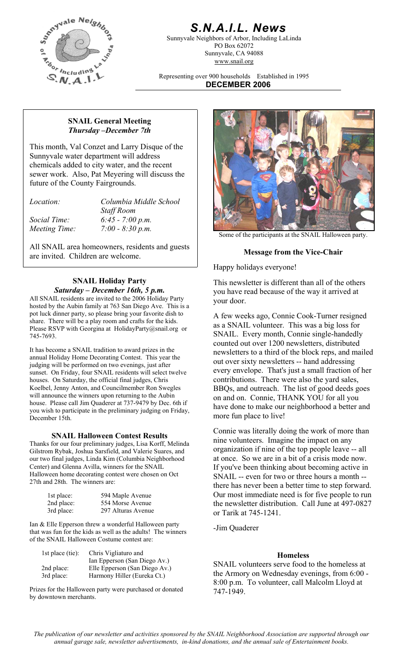

# *S.N.A.I.L. News*

Sunnyvale Neighbors of Arbor, Including LaLinda PO Box 62072 Sunnyvale, CA 94088 www.snail.org

Representing over 900 households Established in 1995 **DECEMBER 2006**

### **SNAIL General Meeting**  *Thursday –December 7th*

This month, Val Conzet and Larry Disque of the Sunnyvale water department will address chemicals added to city water, and the recent sewer work. Also, Pat Meyering will discuss the future of the County Fairgrounds.

*Location: Columbia Middle School Staff Room Social Time: 6:45 - 7:00 p.m.* 

All SNAIL area homeowners, residents and guests are invited. Children are welcome. **Message from the Vice-Chair**

# **SNAIL Holiday Party**  *Saturday – December 16th, 5 p.m.*

All SNAIL residents are invited to the 2006 Holiday Party your door. hosted by the Aubin family at 763 San Diego Ave. This is a pot luck dinner party, so please bring your favorite dish to share. There will be a play room and crafts for the kids. Please RSVP with Georgina at HolidayParty@snail.org or 745-7693.

It has become a SNAIL tradition to award prizes in the annual Holiday Home Decorating Contest. This year the judging will be performed on two evenings, just after sunset. On Friday, four SNAIL residents will select twelve houses. On Saturday, the official final judges, Chris Koelbel, Jenny Anton, and Councilmember Ron Swegles will announce the winners upon returning to the Aubin house. Please call Jim Quaderer at 737-9479 by Dec. 6th if you wish to participate in the preliminary judging on Friday, December 15th.

# **SNAIL Halloween Contest Results**

Thanks for our four preliminary judges, Lisa Korff, Melinda Gilstrom Rybak, Joshua Sarsfield, and Valerie Suares, and our two final judges, Linda Kim (Columbia Neighborhood Center) and Glenna Avilla, winners for the SNAIL Halloween home decorating contest were chosen on Oct 27th and 28th. The winners are:

| 1st place: | 594 Maple Avenue   |
|------------|--------------------|
| 2nd place: | 554 Morse Avenue   |
| 3rd place: | 297 Alturas Avenue |

Ian & Elle Epperson threw a wonderful Halloween party that was fun for the kids as well as the adults! The winners of the SNAIL Halloween Costume contest are:

| Chris Vigliaturo and          |
|-------------------------------|
| Ian Epperson (San Diego Av.)  |
| Elle Epperson (San Diego Av.) |
| Harmony Hiller (Eureka Ct.)   |
|                               |

Prizes for the Halloween party were purchased or donated by downtown merchants.



Happy holidays everyone!

This newsletter is different than all of the others you have read because of the way it arrived at

A few weeks ago, Connie Cook-Turner resigned as a SNAIL volunteer. This was a big loss for SNAIL. Every month, Connie single-handedly counted out over 1200 newsletters, distributed newsletters to a third of the block reps, and mailed out over sixty newsletters -- hand addressing every envelope. That's just a small fraction of her contributions. There were also the yard sales, BBQs, and outreach. The list of good deeds goes on and on. Connie, THANK YOU for all you have done to make our neighborhood a better and more fun place to live!

Connie was literally doing the work of more than nine volunteers. Imagine the impact on any organization if nine of the top people leave -- all at once. So we are in a bit of a crisis mode now. If you've been thinking about becoming active in SNAIL -- even for two or three hours a month - there has never been a better time to step forward. Our most immediate need is for five people to run the newsletter distribution. Call June at 497-0827 or Tarik at 745-1241.

-Jim Quaderer

# **Homeless**

SNAIL volunteers serve food to the homeless at the Armory on Wednesday evenings, from 6:00 - 8:00 p.m. To volunteer, call Malcolm Lloyd at 747-1949.